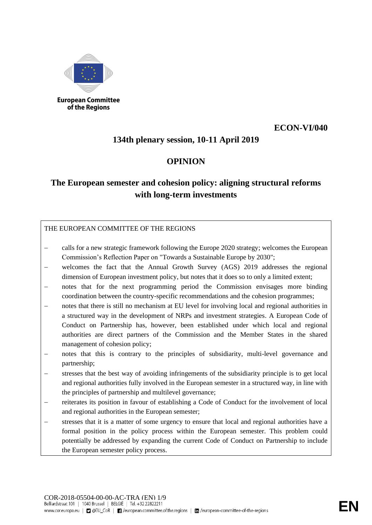

**European Committee** of the Regions

## **ECON-VI/040**

# **134th plenary session, 10-11 April 2019**

# **OPINION**

# **The European semester and cohesion policy: aligning structural reforms with long-term investments**

THE EUROPEAN COMMITTEE OF THE REGIONS

- − calls for a new strategic framework following the Europe 2020 strategy; welcomes the European Commission's Reflection Paper on "Towards a Sustainable Europe by 2030";
- welcomes the fact that the Annual Growth Survey (AGS) 2019 addresses the regional dimension of European investment policy, but notes that it does so to only a limited extent;
- notes that for the next programming period the Commission envisages more binding coordination between the country-specific recommendations and the cohesion programmes;
- notes that there is still no mechanism at EU level for involving local and regional authorities in a structured way in the development of NRPs and investment strategies. A European Code of Conduct on Partnership has, however, been established under which local and regional authorities are direct partners of the Commission and the Member States in the shared management of cohesion policy;
- notes that this is contrary to the principles of subsidiarity, multi-level governance and partnership;
- stresses that the best way of avoiding infringements of the subsidiarity principle is to get local and regional authorities fully involved in the European semester in a structured way, in line with the principles of partnership and multilevel governance;
- reiterates its position in favour of establishing a Code of Conduct for the involvement of local and regional authorities in the European semester;
- stresses that it is a matter of some urgency to ensure that local and regional authorities have a formal position in the policy process within the European semester. This problem could potentially be addressed by expanding the current Code of Conduct on Partnership to include the European semester policy process.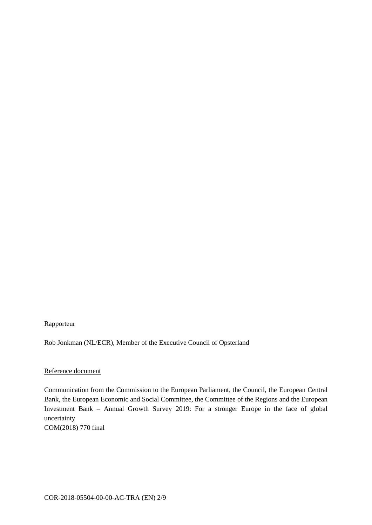## **Rapporteur**

Rob Jonkman (NL/ECR), Member of the Executive Council of Opsterland

#### Reference document

Communication from the Commission to the European Parliament, the Council, the European Central Bank, the European Economic and Social Committee, the Committee of the Regions and the European Investment Bank – Annual Growth Survey 2019: For a stronger Europe in the face of global uncertainty COM(2018) 770 final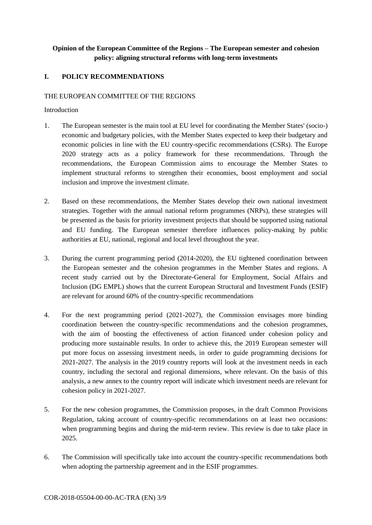## **Opinion of the European Committee of the Regions – The European semester and cohesion policy: aligning structural reforms with long-term investments**

## **I. POLICY RECOMMENDATIONS**

#### THE EUROPEAN COMMITTEE OF THE REGIONS

#### Introduction

- 1. The European semester is the main tool at EU level for coordinating the Member States' (socio-) economic and budgetary policies, with the Member States expected to keep their budgetary and economic policies in line with the EU country-specific recommendations (CSRs). The Europe 2020 strategy acts as a policy framework for these recommendations. Through the recommendations, the European Commission aims to encourage the Member States to implement structural reforms to strengthen their economies, boost employment and social inclusion and improve the investment climate.
- 2. Based on these recommendations, the Member States develop their own national investment strategies. Together with the annual national reform programmes (NRPs), these strategies will be presented as the basis for priority investment projects that should be supported using national and EU funding. The European semester therefore influences policy-making by public authorities at EU, national, regional and local level throughout the year.
- 3. During the current programming period (2014-2020), the EU tightened coordination between the European semester and the cohesion programmes in the Member States and regions. A recent study carried out by the Directorate-General for Employment, Social Affairs and Inclusion (DG EMPL) shows that the current European Structural and Investment Funds (ESIF) are relevant for around 60% of the country-specific recommendations
- 4. For the next programming period (2021-2027), the Commission envisages more binding coordination between the country-specific recommendations and the cohesion programmes, with the aim of boosting the effectiveness of action financed under cohesion policy and producing more sustainable results. In order to achieve this, the 2019 European semester will put more focus on assessing investment needs, in order to guide programming decisions for 2021-2027. The analysis in the 2019 country reports will look at the investment needs in each country, including the sectoral and regional dimensions, where relevant. On the basis of this analysis, a new annex to the country report will indicate which investment needs are relevant for cohesion policy in 2021-2027.
- 5. For the new cohesion programmes, the Commission proposes, in the draft Common Provisions Regulation, taking account of country-specific recommendations on at least two occasions: when programming begins and during the mid-term review. This review is due to take place in 2025.
- 6. The Commission will specifically take into account the country-specific recommendations both when adopting the partnership agreement and in the ESIF programmes.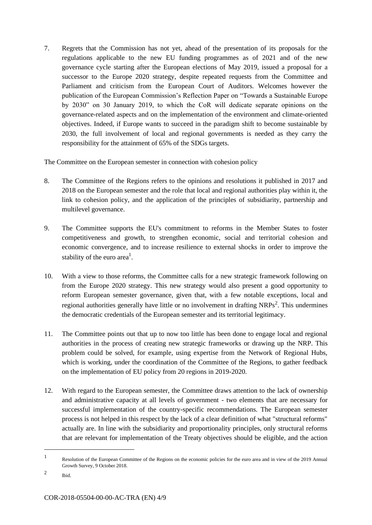7. Regrets that the Commission has not yet, ahead of the presentation of its proposals for the regulations applicable to the new EU funding programmes as of 2021 and of the new governance cycle starting after the European elections of May 2019, issued a proposal for a successor to the Europe 2020 strategy, despite repeated requests from the Committee and Parliament and criticism from the European Court of Auditors. Welcomes however the publication of the European Commission's Reflection Paper on "Towards a Sustainable Europe by 2030" on 30 January 2019, to which the CoR will dedicate separate opinions on the governance-related aspects and on the implementation of the environment and climate-oriented objectives. Indeed, if Europe wants to succeed in the paradigm shift to become sustainable by 2030, the full involvement of local and regional governments is needed as they carry the responsibility for the attainment of 65% of the SDGs targets.

The Committee on the European semester in connection with cohesion policy

- 8. The Committee of the Regions refers to the opinions and resolutions it published in 2017 and 2018 on the European semester and the role that local and regional authorities play within it, the link to cohesion policy, and the application of the principles of subsidiarity, partnership and multilevel governance.
- 9. The Committee supports the EU's commitment to reforms in the Member States to foster competitiveness and growth, to strengthen economic, social and territorial cohesion and economic convergence, and to increase resilience to external shocks in order to improve the stability of the euro area<sup>1</sup>.
- 10. With a view to those reforms, the Committee calls for a new strategic framework following on from the Europe 2020 strategy. This new strategy would also present a good opportunity to reform European semester governance, given that, with a few notable exceptions, local and regional authorities generally have little or no involvement in drafting NRPs<sup>2</sup>. This undermines the democratic credentials of the European semester and its territorial legitimacy.
- 11. The Committee points out that up to now too little has been done to engage local and regional authorities in the process of creating new strategic frameworks or drawing up the NRP. This problem could be solved, for example, using expertise from the Network of Regional Hubs, which is working, under the coordination of the Committee of the Regions, to gather feedback on the implementation of EU policy from 20 regions in 2019-2020.
- 12. With regard to the European semester, the Committee draws attention to the lack of ownership and administrative capacity at all levels of government - two elements that are necessary for successful implementation of the country-specific recommendations. The European semester process is not helped in this respect by the lack of a clear definition of what "structural reforms" actually are. In line with the subsidiarity and proportionality principles, only structural reforms that are relevant for implementation of the Treaty objectives should be eligible, and the action

<sup>1</sup> Resolution of the European Committee of the Regions on the economic policies for the euro area and in view of the 2019 Annual Growth Survey, 9 October 2018.

<sup>2</sup> Ibid.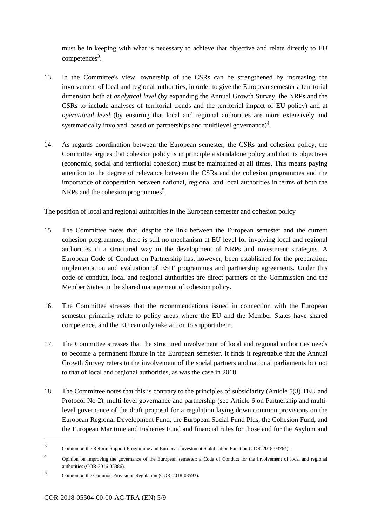must be in keeping with what is necessary to achieve that objective and relate directly to EU competences<sup>3</sup>.

- 13. In the Committee's view, ownership of the CSRs can be strengthened by increasing the involvement of local and regional authorities, in order to give the European semester a territorial dimension both at *analytical level* (by expanding the Annual Growth Survey, the NRPs and the CSRs to include analyses of territorial trends and the territorial impact of EU policy) and at *operational level* (by ensuring that local and regional authorities are more extensively and systematically involved, based on partnerships and multilevel governance)<sup>4</sup>.
- 14. As regards coordination between the European semester, the CSRs and cohesion policy, the Committee argues that cohesion policy is in principle a standalone policy and that its objectives (economic, social and territorial cohesion) must be maintained at all times. This means paying attention to the degree of relevance between the CSRs and the cohesion programmes and the importance of cooperation between national, regional and local authorities in terms of both the NRPs and the cohesion programmes<sup>5</sup>.

The position of local and regional authorities in the European semester and cohesion policy

- 15. The Committee notes that, despite the link between the European semester and the current cohesion programmes, there is still no mechanism at EU level for involving local and regional authorities in a structured way in the development of NRPs and investment strategies. A European Code of Conduct on Partnership has, however, been established for the preparation, implementation and evaluation of ESIF programmes and partnership agreements. Under this code of conduct, local and regional authorities are direct partners of the Commission and the Member States in the shared management of cohesion policy.
- 16. The Committee stresses that the recommendations issued in connection with the European semester primarily relate to policy areas where the EU and the Member States have shared competence, and the EU can only take action to support them.
- 17. The Committee stresses that the structured involvement of local and regional authorities needs to become a permanent fixture in the European semester. It finds it regrettable that the Annual Growth Survey refers to the involvement of the social partners and national parliaments but not to that of local and regional authorities, as was the case in 2018.
- 18. The Committee notes that this is contrary to the principles of subsidiarity (Article 5(3) TEU and Protocol No 2), multi-level governance and partnership (see Article 6 on Partnership and multilevel governance of the draft proposal for a regulation laying down common provisions on the European Regional Development Fund, the European Social Fund Plus, the Cohesion Fund, and the European Maritime and Fisheries Fund and financial rules for those and for the Asylum and

<sup>3</sup> Opinion on the Reform Support Programme and European Investment Stabilisation Function (COR-2018-03764).

<sup>4</sup> Opinion on improving the governance of the European semester: a Code of Conduct for the involvement of local and regional authorities (COR-2016-05386).

<sup>5</sup> Opinion on the Common Provisions Regulation (COR-2018-03593).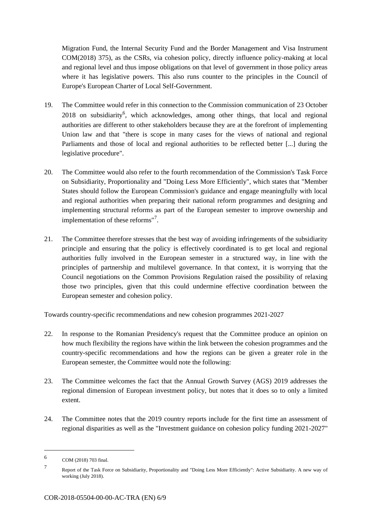Migration Fund, the Internal Security Fund and the Border Management and Visa Instrument COM(2018) 375), as the CSRs, via cohesion policy, directly influence policy-making at local and regional level and thus impose obligations on that level of government in those policy areas where it has legislative powers. This also runs counter to the principles in the Council of Europe's European Charter of Local Self-Government.

- 19. The Committee would refer in this connection to the Commission communication of 23 October 2018 on subsidiarity<sup>6</sup>, which acknowledges, among other things, that local and regional authorities are different to other stakeholders because they are at the forefront of implementing Union law and that "there is scope in many cases for the views of national and regional Parliaments and those of local and regional authorities to be reflected better [...] during the legislative procedure".
- 20. The Committee would also refer to the fourth recommendation of the Commission's Task Force on Subsidiarity, Proportionality and "Doing Less More Efficiently", which states that "Member States should follow the European Commission's guidance and engage meaningfully with local and regional authorities when preparing their national reform programmes and designing and implementing structural reforms as part of the European semester to improve ownership and implementation of these reforms"<sup>7</sup>.
- 21. The Committee therefore stresses that the best way of avoiding infringements of the subsidiarity principle and ensuring that the policy is effectively coordinated is to get local and regional authorities fully involved in the European semester in a structured way, in line with the principles of partnership and multilevel governance. In that context, it is worrying that the Council negotiations on the Common Provisions Regulation raised the possibility of relaxing those two principles, given that this could undermine effective coordination between the European semester and cohesion policy.

Towards country-specific recommendations and new cohesion programmes 2021-2027

- 22. In response to the Romanian Presidency's request that the Committee produce an opinion on how much flexibility the regions have within the link between the cohesion programmes and the country-specific recommendations and how the regions can be given a greater role in the European semester, the Committee would note the following:
- 23. The Committee welcomes the fact that the Annual Growth Survey (AGS) 2019 addresses the regional dimension of European investment policy, but notes that it does so to only a limited extent.
- 24. The Committee notes that the 2019 country reports include for the first time an assessment of regional disparities as well as the "Investment guidance on cohesion policy funding 2021-2027"

<sup>6</sup> COM (2018) 703 final.

<sup>7</sup> Report of the Task Force on Subsidiarity, Proportionality and "Doing Less More Efficiently": Active Subsidiarity. A new way of working (July 2018).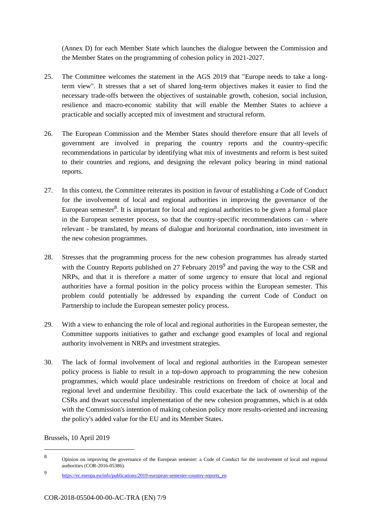(Annex D) for each Member State which launches the dialogue between the Commission and the Member States on the programming of cohesion policy in 2021-2027.

- 25. The Committee welcomes the statement in the AGS 2019 that "Europe needs to take a longterm view". It stresses that a set of shared long-term objectives makes it easier to find the necessary trade-offs between the objectives of sustainable growth, cohesion, social inclusion, resilience and macro-economic stability that will enable the Member States to achieve a practicable and socially accepted mix of investment and structural reform.
- 26. The European Commission and the Member States should therefore ensure that all levels of government are involved in preparing the country reports and the country-specific recommendations in particular by identifying what mix of investments and reform is best suited to their countries and regions, and designing the relevant policy bearing in mind national reports.
- 27. In this context, the Committee reiterates its position in favour of establishing a Code of Conduct for the involvement of local and regional authorities in improving the governance of the European semester<sup>8</sup>. It is important for local and regional authorities to be given a formal place in the European semester process, so that the country-specific recommendations can - where relevant - be translated, by means of dialogue and horizontal coordination, into investment in the new cohesion programmes.
- 28. Stresses that the programming process for the new cohesion programmes has already started with the Country Reports published on 27 February  $2019<sup>9</sup>$  and paving the way to the CSR and NRPs, and that it is therefore a matter of some urgency to ensure that local and regional authorities have a formal position in the policy process within the European semester. This problem could potentially be addressed by expanding the current Code of Conduct on Partnership to include the European semester policy process.
- 29. With a view to enhancing the role of local and regional authorities in the European semester, the Committee supports initiatives to gather and exchange good examples of local and regional authority involvement in NRPs and investment strategies.
- 30. The lack of formal involvement of local and regional authorities in the European semester policy process is liable to result in a top-down approach to programming the new cohesion programmes, which would place undesirable restrictions on freedom of choice at local and regional level and undermine flexibility. This could exacerbate the lack of ownership of the CSRs and thwart successful implementation of the new cohesion programmes, which is at odds with the Commission's intention of making cohesion policy more results-oriented and increasing the policy's added value for the EU and its Member States.

Brussels, 10 April 2019

<sup>8</sup> Opinion on improving the governance of the European semester: a Code of Conduct for the involvement of local and regional authorities (COR-2016-05386).

 $\overline{Q}$ [https://ec.europa.eu/info/publications/2019-european-semester-country-reports\\_en](https://ec.europa.eu/info/publications/2019-european-semester-country-reports_en)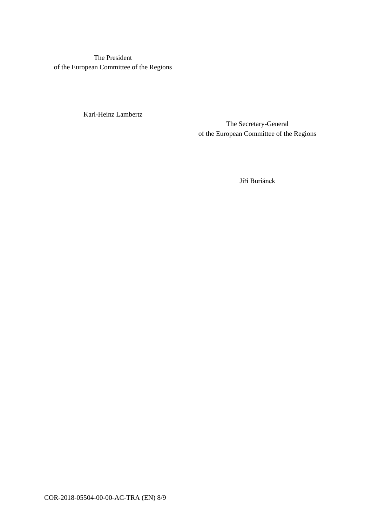The President of the European Committee of the Regions

Karl-Heinz Lambertz

The Secretary-General of the European Committee of the Regions

Jiří Buriánek